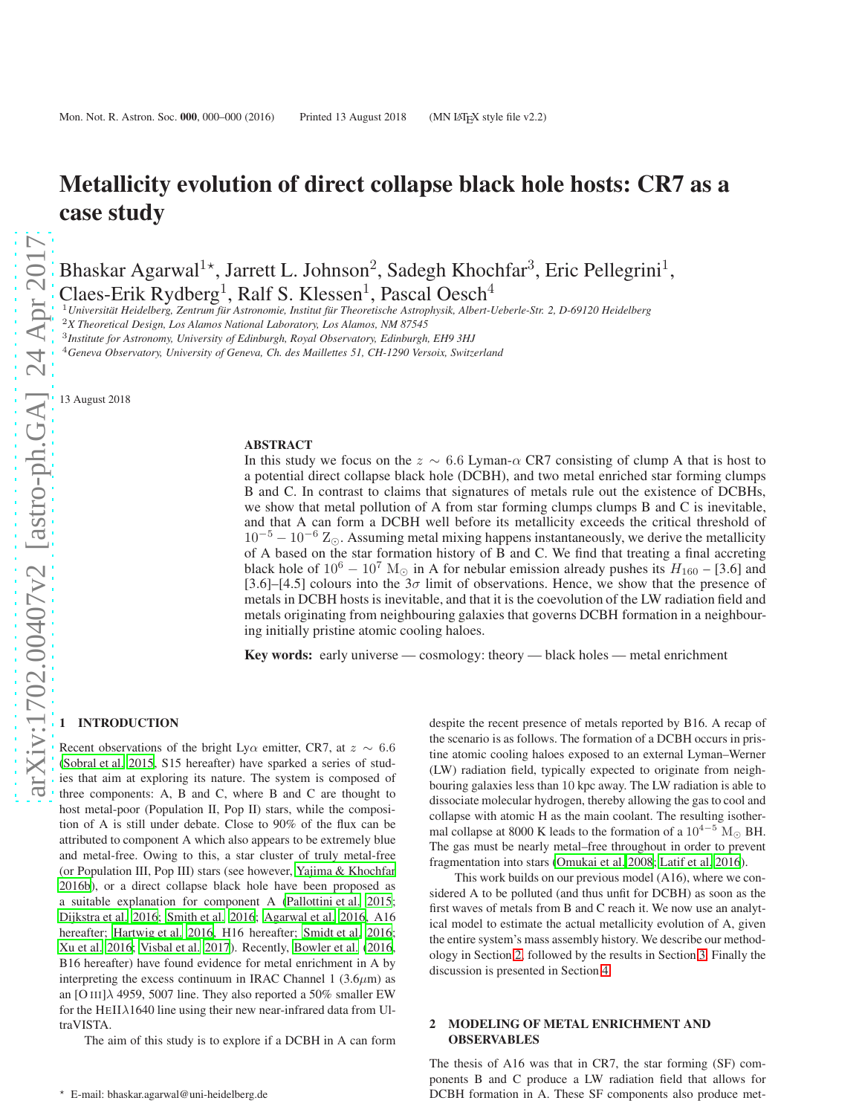Bhaskar Agarwal<sup>1\*</sup>, Jarrett L. Johnson<sup>2</sup>, Sadegh Khochfar<sup>3</sup>, Eric Pellegrini<sup>1</sup>, Claes-Erik Rydberg<sup>1</sup>, Ralf S. Klessen<sup>1</sup>, Pascal Oesch<sup>4</sup>

<sup>1</sup>*Universit¨at Heidelberg, Zentrum f¨ur Astronomie, Institut f¨ur Theoretische Astrophysik, Albert-Ueberle-Str. 2, D-69120 Heidelberg*

<sup>2</sup>*X Theoretical Design, Los Alamos National Laboratory, Los Alamos, NM 87545*

3 *Institute for Astronomy, University of Edinburgh, Royal Observatory, Edinburgh, EH9 3HJ*

<sup>4</sup>*Geneva Observatory, University of Geneva, Ch. des Maillettes 51, CH-1290 Versoix, Switzerland*

13 August 2018

#### ABSTRACT

In this study we focus on the  $z \sim 6.6$  Lyman- $\alpha$  CR7 consisting of clump A that is host to a potential direct collapse black hole (DCBH), and two metal enriched star forming clumps B and C. In contrast to claims that signatures of metals rule out the existence of DCBHs, we show that metal pollution of A from star forming clumps clumps B and C is inevitable, and that A can form a DCBH well before its metallicity exceeds the critical threshold of  $10^{-5} - 10^{-6}$  Z<sub>⊙</sub>. Assuming metal mixing happens instantaneously, we derive the metallicity of A based on the star formation history of B and C. We find that treating a final accreting black hole of  $10^6 - 10^7$  M<sub>☉</sub> in A for nebular emission already pushes its  $H_{160}$  – [3.6] and [3.6]–[4.5] colours into the  $3\sigma$  limit of observations. Hence, we show that the presence of metals in DCBH hosts is inevitable, and that it is the coevolution of the LW radiation field and metals originating from neighbouring galaxies that governs DCBH formation in a neighbouring initially pristine atomic cooling haloes.

Key words: early universe — cosmology: theory — black holes — metal enrichment

#### **INTRODUCTION**

Recent observations of the bright Ly $\alpha$  emitter, CR7, at  $z \sim 6.6$ [\(Sobral et al. 2015](#page-5-0), S15 hereafter) have sparked a series of studies that aim at exploring its nature. The system is composed of three components: A, B and C, where B and C are thought to host metal-poor (Population II, Pop II) stars, while the composition of A is still under debate. Close to 90% of the flux can be attributed to component A which also appears to be extremely blue and metal-free. Owing to this, a star cluster of truly metal-free (or Population III, Pop III) stars (see however, [Yajima & Khochfar](#page-5-1) [2016b](#page-5-1)), or a direct collapse black hole have been proposed as a suitable explanation for component A [\(Pallottini et al. 2015;](#page-5-2) [Dijkstra et al. 2016](#page-4-0); [Smith et al. 2016](#page-5-3); [Agarwal et al. 2016,](#page-4-1) A16 hereafter; [Hartwig et al. 2016](#page-4-2), H16 hereafter; [Smidt et al. 2016;](#page-5-4) [Xu et al. 2016;](#page-5-5) [Visbal et al. 2017](#page-5-6)). Recently, [Bowler et al. \(2016](#page-4-3), B16 hereafter) have found evidence for metal enrichment in A by interpreting the excess continuum in IRAC Channel 1 (3.6 $\mu$ m) as an [O III] $\lambda$  4959, 5007 line. They also reported a 50% smaller EW for the HEII $\lambda$ 1640 line using their new near-infrared data from UltraVISTA.

The aim of this study is to explore if a DCBH in A can form

despite the recent presence of metals reported by B16. A recap of the scenario is as follows. The formation of a DCBH occurs in pristine atomic cooling haloes exposed to an external Lyman–Werner (LW) radiation field, typically expected to originate from neighbouring galaxies less than 10 kpc away. The LW radiation is able to dissociate molecular hydrogen, thereby allowing the gas to cool and collapse with atomic H as the main coolant. The resulting isothermal collapse at 8000 K leads to the formation of a  $10^{4-5}$  M<sub> $\odot$ </sub> BH. The gas must be nearly metal–free throughout in order to prevent fragmentation into stars [\(Omukai et al. 2008](#page-4-4); [Latif et al. 2016](#page-4-5)).

This work builds on our previous model (A16), where we considered A to be polluted (and thus unfit for DCBH) as soon as the first waves of metals from B and C reach it. We now use an analytical model to estimate the actual metallicity evolution of A, given the entire system's mass assembly history. We describe our methodology in Section [2,](#page-0-0) followed by the results in Section [3.](#page-2-0) Finally the discussion is presented in Section [4.](#page-3-0)

## <span id="page-0-0"></span>2 MODELING OF METAL ENRICHMENT AND OBSERVABLES

The thesis of A16 was that in CR7, the star forming (SF) components B and C produce a LW radiation field that allows for DCBH formation in A. These SF components also produce met-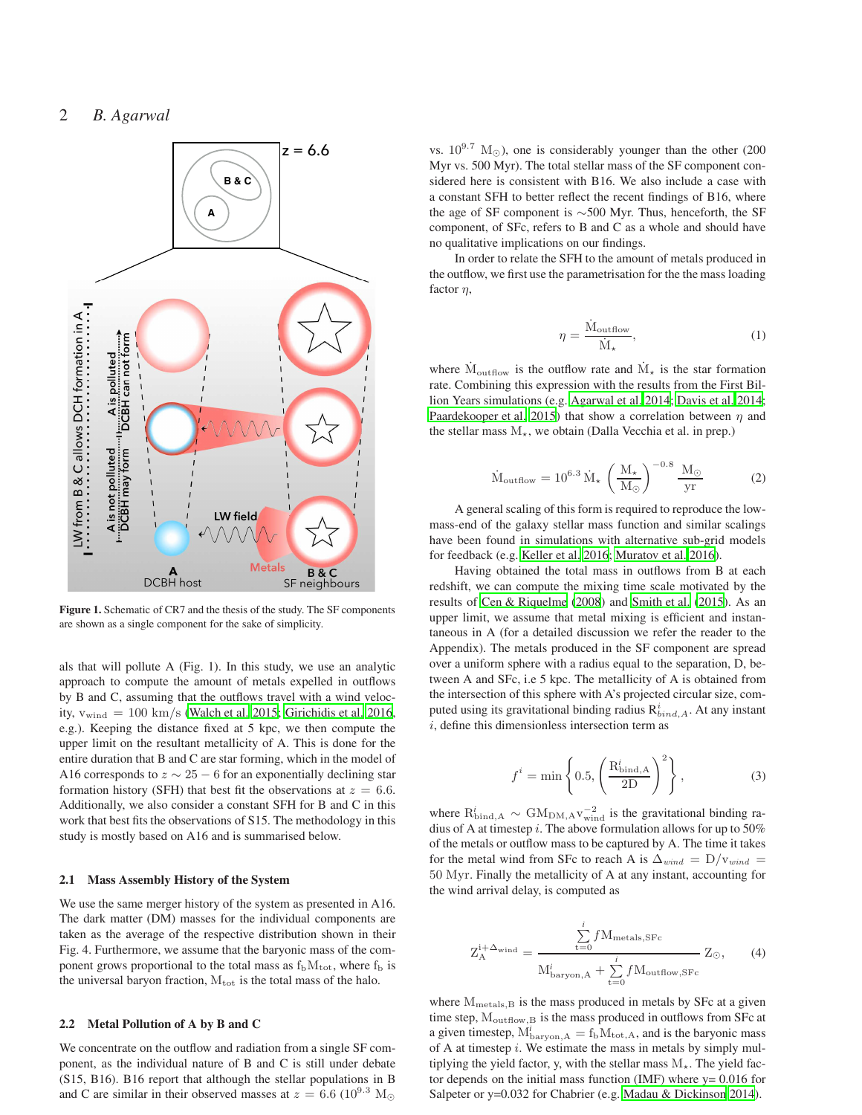

Figure 1. Schematic of CR7 and the thesis of the study. The SF components are shown as a single component for the sake of simplicity.

als that will pollute A (Fig. 1). In this study, we use an analytic approach to compute the amount of metals expelled in outflows by B and C, assuming that the outflows travel with a wind velocity,  $v_{wind} = 100 \text{ km/s}$  [\(Walch et al. 2015](#page-5-7); [Girichidis et al. 2016](#page-4-6), e.g.). Keeping the distance fixed at 5 kpc, we then compute the upper limit on the resultant metallicity of A. This is done for the entire duration that B and C are star forming, which in the model of A16 corresponds to  $z \sim 25 - 6$  for an exponentially declining star formation history (SFH) that best fit the observations at  $z = 6.6$ . Additionally, we also consider a constant SFH for B and C in this work that best fits the observations of S15. The methodology in this study is mostly based on A16 and is summarised below.

### 2.1 Mass Assembly History of the System

We use the same merger history of the system as presented in A16. The dark matter (DM) masses for the individual components are taken as the average of the respective distribution shown in their Fig. 4. Furthermore, we assume that the baryonic mass of the component grows proportional to the total mass as  $f<sub>b</sub>M<sub>tot</sub>$ , where  $f<sub>b</sub>$  is the universal baryon fraction,  $M_{\text{tot}}$  is the total mass of the halo.

#### 2.2 Metal Pollution of A by B and C

We concentrate on the outflow and radiation from a single SF component, as the individual nature of B and C is still under debate (S15, B16). B16 report that although the stellar populations in B and C are similar in their observed masses at  $z = 6.6$  (10<sup>9.3</sup> M<sub>o</sub>

vs.  $10^{9.7}$  M<sub>☉</sub>), one is considerably younger than the other (200 Myr vs. 500 Myr). The total stellar mass of the SF component considered here is consistent with B16. We also include a case with a constant SFH to better reflect the recent findings of B16, where the age of SF component is ∼500 Myr. Thus, henceforth, the SF component, of SFc, refers to B and C as a whole and should have no qualitative implications on our findings.

In order to relate the SFH to the amount of metals produced in the outflow, we first use the parametrisation for the the mass loading factor  $\eta$ ,

$$
\eta = \frac{\dot{M}_{\text{outflow}}}{\dot{M}_{\star}},\tag{1}
$$

where  $\dot{M}_{\text{outflow}}$  is the outflow rate and  $\dot{M}_{\star}$  is the star formation rate. Combining this expression with the results from the First Billion Years simulations (e.g. [Agarwal et al. 2014](#page-4-7); [Davis et al. 2014;](#page-4-8) [Paardekooper et al. 2015](#page-4-9)) that show a correlation between  $\eta$  and the stellar mass  $M_{\star}$ , we obtain (Dalla Vecchia et al. in prep.)

$$
\dot{M}_{\text{outflow}} = 10^{6.3} \,\dot{M}_{\star} \,\left(\frac{M_{\star}}{M_{\odot}}\right)^{-0.8} \frac{M_{\odot}}{yr} \tag{2}
$$

A general scaling of this form is required to reproduce the lowmass-end of the galaxy stellar mass function and similar scalings have been found in simulations with alternative sub-grid models for feedback (e.g. [Keller et al. 2016](#page-4-10); [Muratov et al. 2016\)](#page-4-11).

Having obtained the total mass in outflows from B at each redshift, we can compute the mixing time scale motivated by the results of [Cen & Riquelme \(2008](#page-4-12)) and [Smith et al. \(2015](#page-5-8)). As an upper limit, we assume that metal mixing is efficient and instantaneous in A (for a detailed discussion we refer the reader to the Appendix). The metals produced in the SF component are spread over a uniform sphere with a radius equal to the separation, D, between A and SFc, i.e 5 kpc. The metallicity of A is obtained from the intersection of this sphere with A's projected circular size, computed using its gravitational binding radius  $R_{bind,A}^i$ . At any instant  $i$ , define this dimensionless intersection term as

$$
f^i = \min\left\{0.5, \left(\frac{\mathrm{R}_{\mathrm{bind,A}}^i}{2\mathrm{D}}\right)^2\right\},\tag{3}
$$

where  $R_{bind,A}^i \sim GAM_{DM,A}v_{wind}^{-2}$  is the gravitational binding radius of A at timestep  $i$ . The above formulation allows for up to 50% of the metals or outflow mass to be captured by A. The time it takes for the metal wind from SFc to reach A is  $\Delta_{wind} = D/v_{wind}$ 50 Myr. Finally the metallicity of A at any instant, accounting for the wind arrival delay, is computed as

<span id="page-1-0"></span>
$$
Z_A^{i+\Delta_{\text{wind}}} = \frac{\sum_{t=0}^{i} f M_{\text{metals,SFc}}}{M_{\text{baryon,A}}^i + \sum_{t=0}^{i} f M_{\text{outflow,SFc}}} Z_{\odot}, \qquad (4)
$$

where  $M_{\text{metals},B}$  is the mass produced in metals by SFc at a given time step,  $M_{\text{outflow},B}$  is the mass produced in outflows from SFc at a given timestep,  $M_{\text{baryon},A}^i = f_b M_{\text{tot},A}$ , and is the baryonic mass of A at timestep  $i$ . We estimate the mass in metals by simply multiplying the yield factor, y, with the stellar mass  $M_{\star}$ . The yield factor depends on the initial mass function (IMF) where  $y = 0.016$  for Salpeter or y=0.032 for Chabrier (e.g. [Madau & Dickinson 2014](#page-4-13)).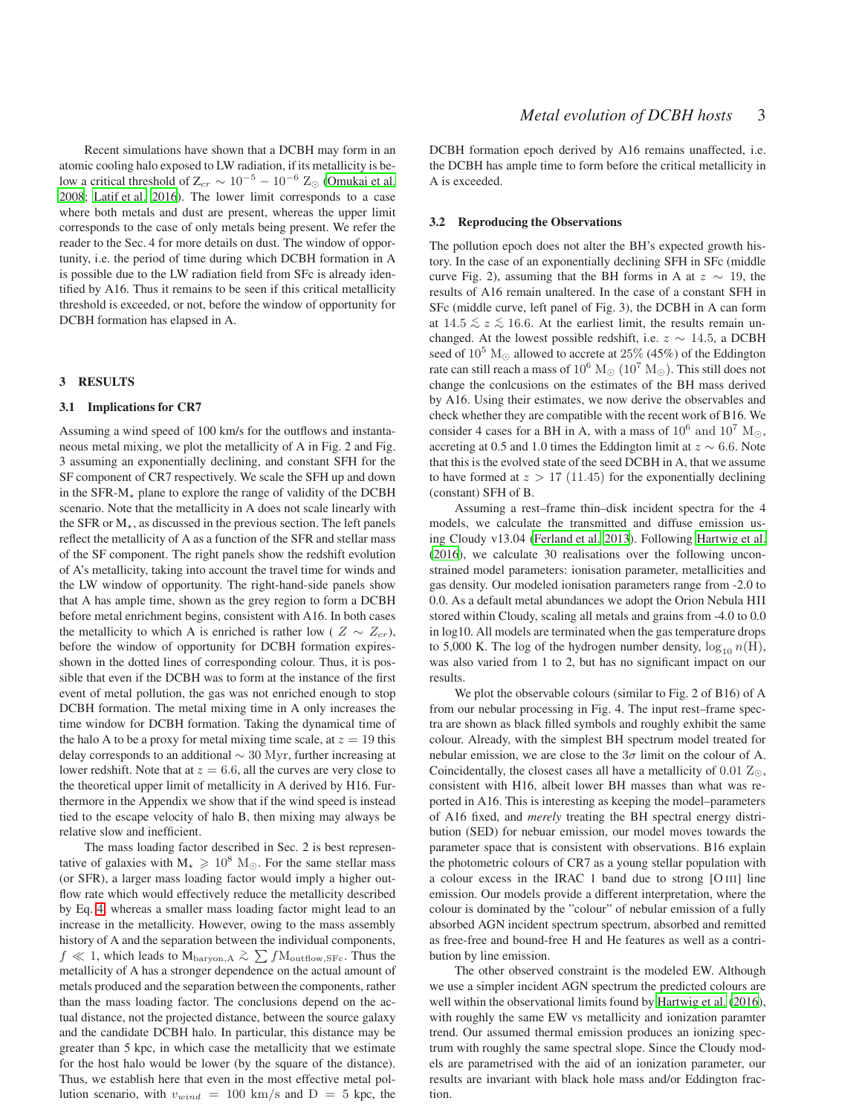Recent simulations have shown that a DCBH may form in an atomic cooling halo exposed to LW radiation, if its metallicity is below a critical threshold of  $Z_{cr} \sim 10^{-5} - 10^{-6}$  Z<sub>⊙</sub> [\(Omukai et al.](#page-4-4) [2008;](#page-4-4) [Latif et al. 2016\)](#page-4-5). The lower limit corresponds to a case where both metals and dust are present, whereas the upper limit corresponds to the case of only metals being present. We refer the reader to the Sec. 4 for more details on dust. The window of opportunity, i.e. the period of time during which DCBH formation in A is possible due to the LW radiation field from SFc is already identified by A16. Thus it remains to be seen if this critical metallicity threshold is exceeded, or not, before the window of opportunity for DCBH formation has elapsed in A.

#### <span id="page-2-0"></span>3 RESULTS

## 3.1 Implications for CR7

Assuming a wind speed of 100 km/s for the outflows and instantaneous metal mixing, we plot the metallicity of A in Fig. 2 and Fig. 3 assuming an exponentially declining, and constant SFH for the SF component of CR7 respectively. We scale the SFH up and down in the SFR- $M_{\star}$  plane to explore the range of validity of the DCBH scenario. Note that the metallicity in A does not scale linearly with the SFR or  $M_{\star}$ , as discussed in the previous section. The left panels reflect the metallicity of A as a function of the SFR and stellar mass of the SF component. The right panels show the redshift evolution of A's metallicity, taking into account the travel time for winds and the LW window of opportunity. The right-hand-side panels show that A has ample time, shown as the grey region to form a DCBH before metal enrichment begins, consistent with A16. In both cases the metallicity to which A is enriched is rather low (  $Z \sim Z_{cr}$ ), before the window of opportunity for DCBH formation expiresshown in the dotted lines of corresponding colour. Thus, it is possible that even if the DCBH was to form at the instance of the first event of metal pollution, the gas was not enriched enough to stop DCBH formation. The metal mixing time in A only increases the time window for DCBH formation. Taking the dynamical time of the halo A to be a proxy for metal mixing time scale, at  $z = 19$  this delay corresponds to an additional ∼ 30 Myr, further increasing at lower redshift. Note that at  $z = 6.6$ , all the curves are very close to the theoretical upper limit of metallicity in A derived by H16. Furthermore in the Appendix we show that if the wind speed is instead tied to the escape velocity of halo B, then mixing may always be relative slow and inefficient.

The mass loading factor described in Sec. 2 is best representative of galaxies with  $M_{\star} \geq 10^8$  M<sub>☉</sub>. For the same stellar mass (or SFR), a larger mass loading factor would imply a higher outflow rate which would effectively reduce the metallicity described by Eq. [4,](#page-1-0) whereas a smaller mass loading factor might lead to an increase in the metallicity. However, owing to the mass assembly history of A and the separation between the individual components,  $f \ll 1$ , which leads to M<sub>baryon, A</sub>  $\gtrsim \sum f \text{M}_{\text{outflow, SFc}}$ . Thus the metallicity of A has a stronger dependence on the actual amount of metals produced and the separation between the components, rather than the mass loading factor. The conclusions depend on the actual distance, not the projected distance, between the source galaxy and the candidate DCBH halo. In particular, this distance may be greater than 5 kpc, in which case the metallicity that we estimate for the host halo would be lower (by the square of the distance). Thus, we establish here that even in the most effective metal pollution scenario, with  $v_{wind} = 100 \text{ km/s}$  and  $D = 5 \text{ kpc}$ , the

DCBH formation epoch derived by A16 remains unaffected, i.e. the DCBH has ample time to form before the critical metallicity in A is exceeded.

#### 3.2 Reproducing the Observations

The pollution epoch does not alter the BH's expected growth history. In the case of an exponentially declining SFH in SFc (middle curve Fig. 2), assuming that the BH forms in A at  $z \sim 19$ , the results of A16 remain unaltered. In the case of a constant SFH in SFc (middle curve, left panel of Fig. 3), the DCBH in A can form at  $14.5 \leq z \leq 16.6$ . At the earliest limit, the results remain unchanged. At the lowest possible redshift, i.e.  $z \sim 14.5$ , a DCBH seed of  $10^5$  M<sub>☉</sub> allowed to accrete at  $25\%$  (45%) of the Eddington rate can still reach a mass of  $10^6$  M<sub>☉</sub>  $(10^7$  M<sub>☉</sub>). This still does not change the conlcusions on the estimates of the BH mass derived by A16. Using their estimates, we now derive the observables and check whether they are compatible with the recent work of B16. We consider 4 cases for a BH in A, with a mass of  $10^6$  and  $10^7$  M<sub>☉</sub>, accreting at 0.5 and 1.0 times the Eddington limit at  $z \sim 6.6$ . Note that this is the evolved state of the seed DCBH in A, that we assume to have formed at  $z > 17$  (11.45) for the exponentially declining (constant) SFH of B.

Assuming a rest–frame thin–disk incident spectra for the 4 models, we calculate the transmitted and diffuse emission using Cloudy v13.04 [\(Ferland et al. 2013](#page-4-14)). Following [Hartwig et al.](#page-4-2) [\(2016](#page-4-2)), we calculate 30 realisations over the following unconstrained model parameters: ionisation parameter, metallicities and gas density. Our modeled ionisation parameters range from -2.0 to 0.0. As a default metal abundances we adopt the Orion Nebula HII stored within Cloudy, scaling all metals and grains from -4.0 to 0.0 in log10. All models are terminated when the gas temperature drops to 5,000 K. The log of the hydrogen number density,  $\log_{10} n(H)$ , was also varied from 1 to 2, but has no significant impact on our results.

We plot the observable colours (similar to Fig. 2 of B16) of A from our nebular processing in Fig. 4. The input rest–frame spectra are shown as black filled symbols and roughly exhibit the same colour. Already, with the simplest BH spectrum model treated for nebular emission, we are close to the  $3\sigma$  limit on the colour of A. Coincidentally, the closest cases all have a metallicity of  $0.01 \text{ Z}_\odot$ , consistent with H16, albeit lower BH masses than what was reported in A16. This is interesting as keeping the model–parameters of A16 fixed, and *merely* treating the BH spectral energy distribution (SED) for nebuar emission, our model moves towards the parameter space that is consistent with observations. B16 explain the photometric colours of CR7 as a young stellar population with a colour excess in the IRAC 1 band due to strong [O III] line emission. Our models provide a different interpretation, where the colour is dominated by the "colour" of nebular emission of a fully absorbed AGN incident spectrum spectrum, absorbed and remitted as free-free and bound-free H and He features as well as a contribution by line emission.

The other observed constraint is the modeled EW. Although we use a simpler incident AGN spectrum the predicted colours are well within the observational limits found by [Hartwig et al.](#page-4-2) [\(2016](#page-4-2)), with roughly the same EW vs metallicity and ionization paramter trend. Our assumed thermal emission produces an ionizing spectrum with roughly the same spectral slope. Since the Cloudy models are parametrised with the aid of an ionization parameter, our results are invariant with black hole mass and/or Eddington fraction.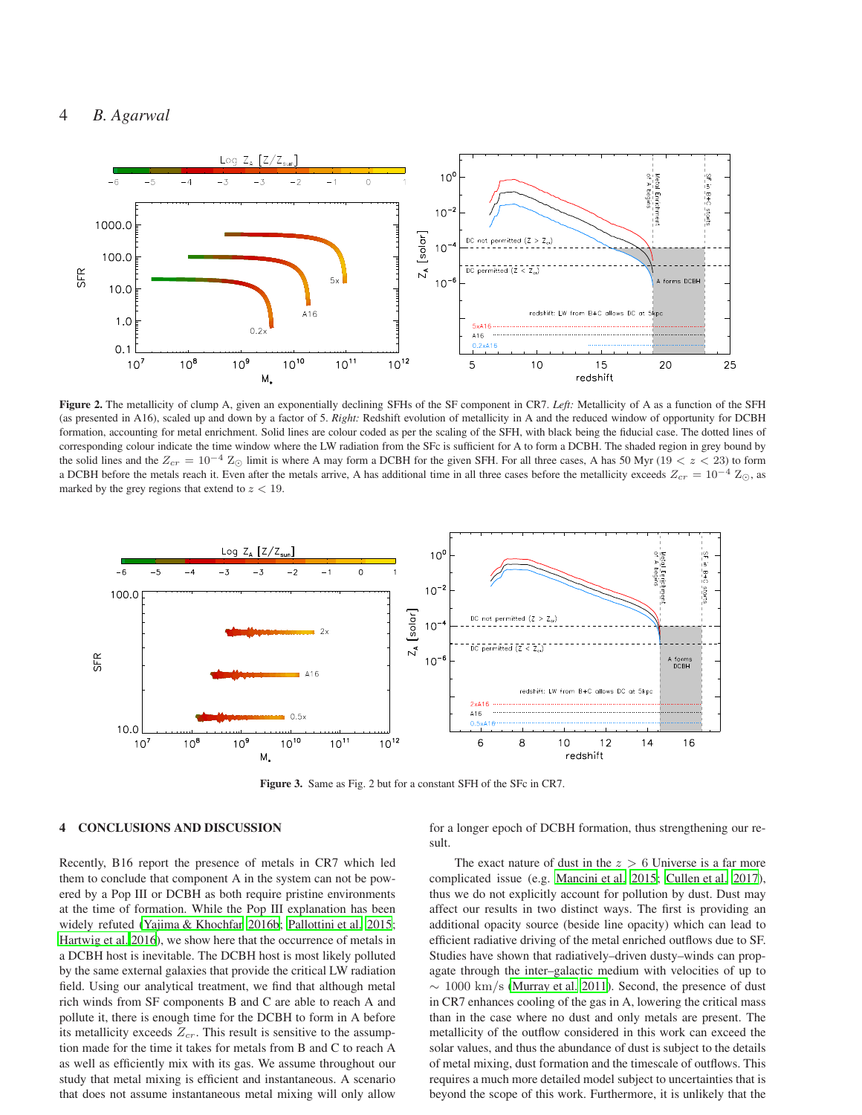# 4 *B. Agarwal*



Figure 2. The metallicity of clump A, given an exponentially declining SFHs of the SF component in CR7. *Left:* Metallicity of A as a function of the SFH (as presented in A16), scaled up and down by a factor of 5. *Right:* Redshift evolution of metallicity in A and the reduced window of opportunity for DCBH formation, accounting for metal enrichment. Solid lines are colour coded as per the scaling of the SFH, with black being the fiducial case. The dotted lines of corresponding colour indicate the time window where the LW radiation from the SFc is sufficient for A to form a DCBH. The shaded region in grey bound by the solid lines and the  $Z_{cr} = 10^{-4} Z_{\odot}$  limit is where A may form a DCBH for the given SFH. For all three cases, A has 50 Myr (19 < z < 23) to form a DCBH before the metals reach it. Even after the metals arrive, A has additional time in all three cases before the metallicity exceeds  $Z_{cr} = 10^{-4} Z_{\odot}$ , as marked by the grey regions that extend to  $z < 19$ .



Figure 3. Same as Fig. 2 but for a constant SFH of the SFc in CR7.

## <span id="page-3-0"></span>4 CONCLUSIONS AND DISCUSSION

Recently, B16 report the presence of metals in CR7 which led them to conclude that component A in the system can not be powered by a Pop III or DCBH as both require pristine environments at the time of formation. While the Pop III explanation has been widely refuted [\(Yajima & Khochfar 2016b](#page-5-1); [Pallottini et al. 2015;](#page-5-2) [Hartwig et al. 2016](#page-4-2)), we show here that the occurrence of metals in a DCBH host is inevitable. The DCBH host is most likely polluted by the same external galaxies that provide the critical LW radiation field. Using our analytical treatment, we find that although metal rich winds from SF components B and C are able to reach A and pollute it, there is enough time for the DCBH to form in A before its metallicity exceeds  $Z_{cr}$ . This result is sensitive to the assumption made for the time it takes for metals from B and C to reach A as well as efficiently mix with its gas. We assume throughout our study that metal mixing is efficient and instantaneous. A scenario that does not assume instantaneous metal mixing will only allow

for a longer epoch of DCBH formation, thus strengthening our result.

The exact nature of dust in the  $z > 6$  Universe is a far more complicated issue (e.g. [Mancini et al. 2015;](#page-4-15) [Cullen et al. 2017](#page-4-16)), thus we do not explicitly account for pollution by dust. Dust may affect our results in two distinct ways. The first is providing an additional opacity source (beside line opacity) which can lead to efficient radiative driving of the metal enriched outflows due to SF. Studies have shown that radiatively–driven dusty–winds can propagate through the inter–galactic medium with velocities of up to  $\sim 1000 \text{ km/s}$  [\(Murray et al. 2011](#page-4-17)). Second, the presence of dust in CR7 enhances cooling of the gas in A, lowering the critical mass than in the case where no dust and only metals are present. The metallicity of the outflow considered in this work can exceed the solar values, and thus the abundance of dust is subject to the details of metal mixing, dust formation and the timescale of outflows. This requires a much more detailed model subject to uncertainties that is beyond the scope of this work. Furthermore, it is unlikely that the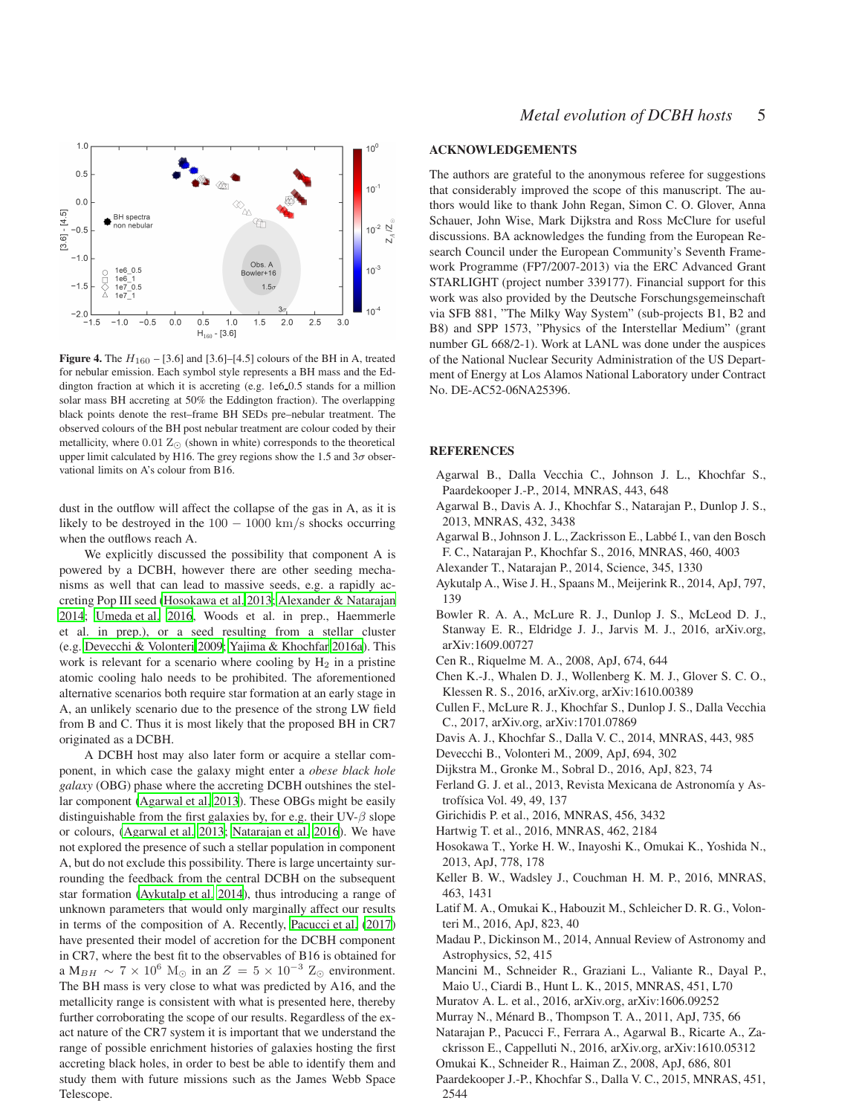

Figure 4. The  $H_{160}$  – [3.6] and [3.6]–[4.5] colours of the BH in A, treated for nebular emission. Each symbol style represents a BH mass and the Eddington fraction at which it is accreting (e.g. 1e6 0.5 stands for a million solar mass BH accreting at 50% the Eddington fraction). The overlapping black points denote the rest–frame BH SEDs pre–nebular treatment. The observed colours of the BH post nebular treatment are colour coded by their metallicity, where  $0.01 \, \text{Z}_\odot$  (shown in white) corresponds to the theoretical upper limit calculated by H16. The grey regions show the 1.5 and  $3\sigma$  observational limits on A's colour from B16.

dust in the outflow will affect the collapse of the gas in A, as it is likely to be destroyed in the  $100 - 1000$  km/s shocks occurring when the outflows reach A.

We explicitly discussed the possibility that component A is powered by a DCBH, however there are other seeding mechanisms as well that can lead to massive seeds, e.g. a rapidly accreting Pop III seed [\(Hosokawa et al. 2013](#page-4-18); [Alexander & Natarajan](#page-4-19) [2014;](#page-4-19) [Umeda et al. 2016](#page-5-9), Woods et al. in prep., Haemmerle et al. in prep.), or a seed resulting from a stellar cluster (e.g. [Devecchi & Volonteri 2009](#page-4-20); [Yajima & Khochfar 2016a\)](#page-5-10). This work is relevant for a scenario where cooling by  $H_2$  in a pristine atomic cooling halo needs to be prohibited. The aforementioned alternative scenarios both require star formation at an early stage in A, an unlikely scenario due to the presence of the strong LW field from B and C. Thus it is most likely that the proposed BH in CR7 originated as a DCBH.

A DCBH host may also later form or acquire a stellar component, in which case the galaxy might enter a *obese black hole galaxy* (OBG) phase where the accreting DCBH outshines the stellar component [\(Agarwal et al. 2013\)](#page-4-21). These OBGs might be easily distinguishable from the first galaxies by, for e.g. their UV- $\beta$  slope or colours, [\(Agarwal et al. 2013](#page-4-21); [Natarajan et al. 2016](#page-4-22)). We have not explored the presence of such a stellar population in component A, but do not exclude this possibility. There is large uncertainty surrounding the feedback from the central DCBH on the subsequent star formation [\(Aykutalp et al. 2014\)](#page-4-23), thus introducing a range of unknown parameters that would only marginally affect our results in terms of the composition of A. Recently, [Pacucci et al. \(2017](#page-5-11)) have presented their model of accretion for the DCBH component in CR7, where the best fit to the observables of B16 is obtained for a M<sub>BH</sub>  $\sim 7 \times 10^6$  M<sub>☉</sub> in an  $Z = 5 \times 10^{-3}$  Z<sub>☉</sub> environment. The BH mass is very close to what was predicted by A16, and the metallicity range is consistent with what is presented here, thereby further corroborating the scope of our results. Regardless of the exact nature of the CR7 system it is important that we understand the range of possible enrichment histories of galaxies hosting the first accreting black holes, in order to best be able to identify them and study them with future missions such as the James Webb Space Telescope.

## ACKNOWLEDGEMENTS

The authors are grateful to the anonymous referee for suggestions that considerably improved the scope of this manuscript. The authors would like to thank John Regan, Simon C. O. Glover, Anna Schauer, John Wise, Mark Dijkstra and Ross McClure for useful discussions. BA acknowledges the funding from the European Research Council under the European Community's Seventh Framework Programme (FP7/2007-2013) via the ERC Advanced Grant STARLIGHT (project number 339177). Financial support for this work was also provided by the Deutsche Forschungsgemeinschaft via SFB 881, "The Milky Way System" (sub-projects B1, B2 and B8) and SPP 1573, "Physics of the Interstellar Medium" (grant number GL 668/2-1). Work at LANL was done under the auspices of the National Nuclear Security Administration of the US Department of Energy at Los Alamos National Laboratory under Contract No. DE-AC52-06NA25396.

## **REFERENCES**

- <span id="page-4-7"></span>Agarwal B., Dalla Vecchia C., Johnson J. L., Khochfar S., Paardekooper J.-P., 2014, MNRAS, 443, 648
- <span id="page-4-21"></span>Agarwal B., Davis A. J., Khochfar S., Natarajan P., Dunlop J. S., 2013, MNRAS, 432, 3438
- <span id="page-4-1"></span>Agarwal B., Johnson J. L., Zackrisson E., Labbé I., van den Bosch F. C., Natarajan P., Khochfar S., 2016, MNRAS, 460, 4003
- <span id="page-4-19"></span>Alexander T., Natarajan P., 2014, Science, 345, 1330
- <span id="page-4-23"></span>Aykutalp A., Wise J. H., Spaans M., Meijerink R., 2014, ApJ, 797, 139
- <span id="page-4-3"></span>Bowler R. A. A., McLure R. J., Dunlop J. S., McLeod D. J., Stanway E. R., Eldridge J. J., Jarvis M. J., 2016, arXiv.org, arXiv:1609.00727
- <span id="page-4-12"></span>Cen R., Riquelme M. A., 2008, ApJ, 674, 644
- <span id="page-4-24"></span>Chen K.-J., Whalen D. J., Wollenberg K. M. J., Glover S. C. O., Klessen R. S., 2016, arXiv.org, arXiv:1610.00389
- <span id="page-4-16"></span>Cullen F., McLure R. J., Khochfar S., Dunlop J. S., Dalla Vecchia C., 2017, arXiv.org, arXiv:1701.07869
- <span id="page-4-8"></span>Davis A. J., Khochfar S., Dalla V. C., 2014, MNRAS, 443, 985
- <span id="page-4-20"></span>Devecchi B., Volonteri M., 2009, ApJ, 694, 302
- <span id="page-4-0"></span>Dijkstra M., Gronke M., Sobral D., 2016, ApJ, 823, 74
- <span id="page-4-14"></span>Ferland G. J. et al., 2013, Revista Mexicana de Astronomía y Astrofísica Vol. 49, 49, 137
- <span id="page-4-6"></span>Girichidis P. et al., 2016, MNRAS, 456, 3432
- <span id="page-4-2"></span>Hartwig T. et al., 2016, MNRAS, 462, 2184
- <span id="page-4-18"></span>Hosokawa T., Yorke H. W., Inayoshi K., Omukai K., Yoshida N., 2013, ApJ, 778, 178
- <span id="page-4-10"></span>Keller B. W., Wadsley J., Couchman H. M. P., 2016, MNRAS, 463, 1431
- <span id="page-4-5"></span>Latif M. A., Omukai K., Habouzit M., Schleicher D. R. G., Volonteri M., 2016, ApJ, 823, 40
- <span id="page-4-13"></span>Madau P., Dickinson M., 2014, Annual Review of Astronomy and Astrophysics, 52, 415
- <span id="page-4-15"></span>Mancini M., Schneider R., Graziani L., Valiante R., Dayal P., Maio U., Ciardi B., Hunt L. K., 2015, MNRAS, 451, L70
- <span id="page-4-11"></span>Muratov A. L. et al., 2016, arXiv.org, arXiv:1606.09252
- <span id="page-4-17"></span>Murray N., Ménard B., Thompson T. A., 2011, ApJ, 735, 66
- <span id="page-4-22"></span>Natarajan P., Pacucci F., Ferrara A., Agarwal B., Ricarte A., Zackrisson E., Cappelluti N., 2016, arXiv.org, arXiv:1610.05312
- <span id="page-4-4"></span>Omukai K., Schneider R., Haiman Z., 2008, ApJ, 686, 801
- <span id="page-4-9"></span>Paardekooper J.-P., Khochfar S., Dalla V. C., 2015, MNRAS, 451, 2544